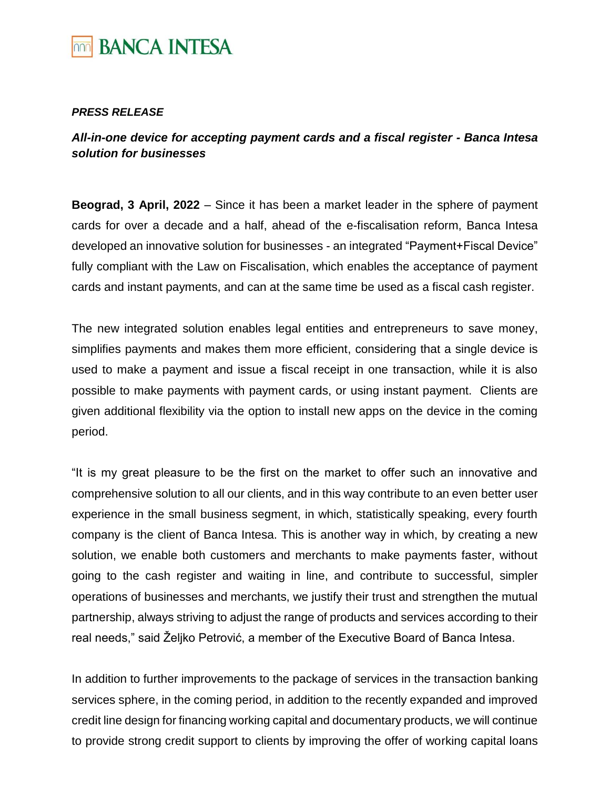

## *PRESS RELEASE*

*All-in-one device for accepting payment cards and a fiscal register - Banca Intesa solution for businesses*

**Beograd, 3 April, 2022** – Since it has been a market leader in the sphere of payment cards for over a decade and a half, ahead of the e-fiscalisation reform, Banca Intesa developed an innovative solution for businesses - an integrated "Payment+Fiscal Device" fully compliant with the Law on Fiscalisation, which enables the acceptance of payment cards and instant payments, and can at the same time be used as a fiscal cash register.

The new integrated solution enables legal entities and entrepreneurs to save money, simplifies payments and makes them more efficient, considering that a single device is used to make a payment and issue a fiscal receipt in one transaction, while it is also possible to make payments with payment cards, or using instant payment. Clients are given additional flexibility via the option to install new apps on the device in the coming period.

"It is my great pleasure to be the first on the market to offer such an innovative and comprehensive solution to all our clients, and in this way contribute to an even better user experience in the small business segment, in which, statistically speaking, every fourth company is the client of Banca Intesa. This is another way in which, by creating a new solution, we enable both customers and merchants to make payments faster, without going to the cash register and waiting in line, and contribute to successful, simpler operations of businesses and merchants, we justify their trust and strengthen the mutual partnership, always striving to adjust the range of products and services according to their real needs," said Željko Petrović, a member of the Executive Board of Banca Intesa.

In addition to further improvements to the package of services in the transaction banking services sphere, in the coming period, in addition to the recently expanded and improved credit line design for financing working capital and documentary products, we will continue to provide strong credit support to clients by improving the offer of working capital loans